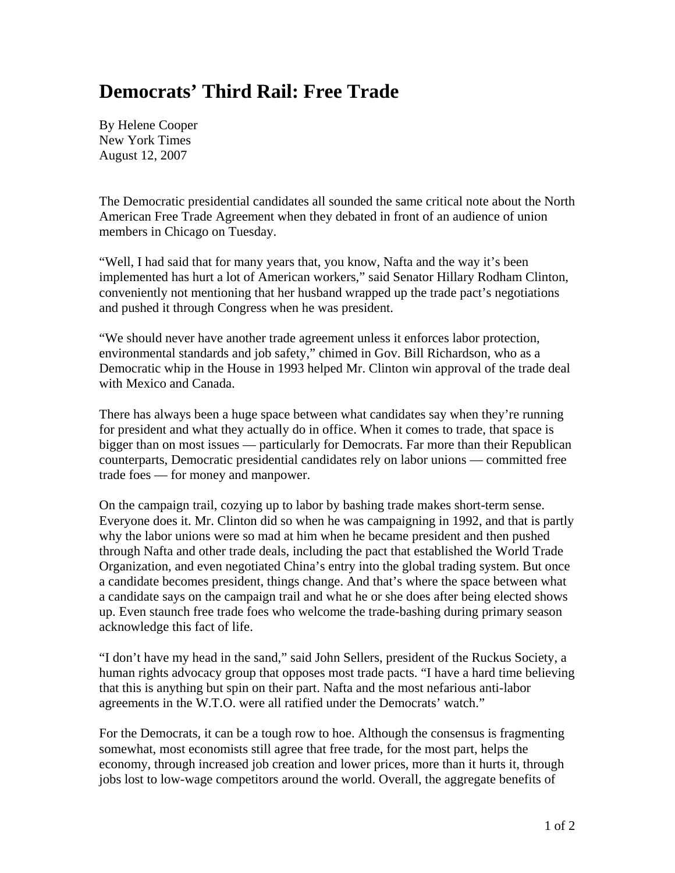## **Democrats' Third Rail: Free Trade**

By Helene Cooper New York Times August 12, 2007

The Democratic presidential candidates all sounded the same critical note about the North American Free Trade Agreement when they debated in front of an audience of union members in Chicago on Tuesday.

"Well, I had said that for many years that, you know, Nafta and the way it's been implemented has hurt a lot of American workers," said Senator Hillary Rodham Clinton, conveniently not mentioning that her husband wrapped up the trade pact's negotiations and pushed it through Congress when he was president.

"We should never have another trade agreement unless it enforces labor protection, environmental standards and job safety," chimed in Gov. Bill Richardson, who as a Democratic whip in the House in 1993 helped Mr. Clinton win approval of the trade deal with Mexico and Canada.

There has always been a huge space between what candidates say when they're running for president and what they actually do in office. When it comes to trade, that space is bigger than on most issues — particularly for Democrats. Far more than their Republican counterparts, Democratic presidential candidates rely on labor unions — committed free trade foes — for money and manpower.

On the campaign trail, cozying up to labor by bashing trade makes short-term sense. Everyone does it. Mr. Clinton did so when he was campaigning in 1992, and that is partly why the labor unions were so mad at him when he became president and then pushed through Nafta and other trade deals, including the pact that established the World Trade Organization, and even negotiated China's entry into the global trading system. But once a candidate becomes president, things change. And that's where the space between what a candidate says on the campaign trail and what he or she does after being elected shows up. Even staunch free trade foes who welcome the trade-bashing during primary season acknowledge this fact of life.

"I don't have my head in the sand," said John Sellers, president of the Ruckus Society, a human rights advocacy group that opposes most trade pacts. "I have a hard time believing that this is anything but spin on their part. Nafta and the most nefarious anti-labor agreements in the W.T.O. were all ratified under the Democrats' watch."

For the Democrats, it can be a tough row to hoe. Although the consensus is fragmenting somewhat, most economists still agree that free trade, for the most part, helps the economy, through increased job creation and lower prices, more than it hurts it, through jobs lost to low-wage competitors around the world. Overall, the aggregate benefits of